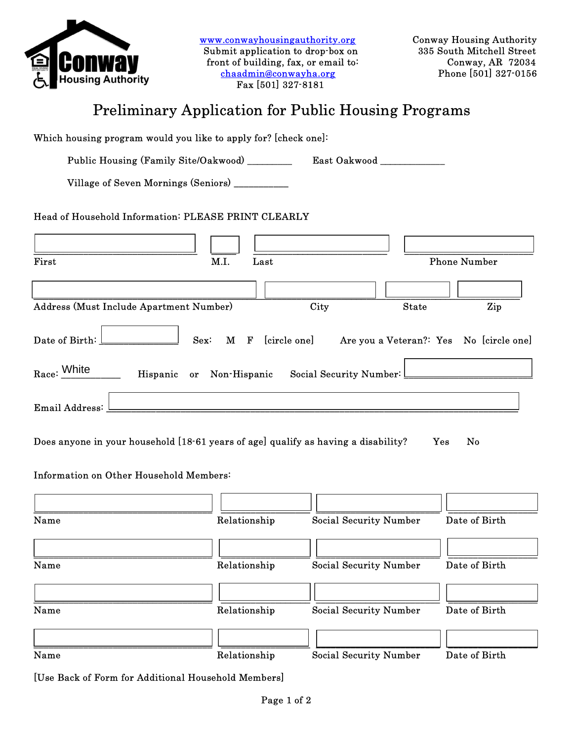

www.conwayhousingauthority.org Conway Housing Authority<br>
Submit application to drop-box on 335 South Mitchell Street Submit application to drop-box on front of building, fax, or email to: Conway, AR 72034<br>
chaadmin@conwayha.org<br>
Phone [501] 327-0156  $chaadmin@convayha.org$ Fax [501] 327-8181 .

## Preliminary Application for Public Housing Programs

| Which housing program would you like to apply for? [check one]:                    |                          |                                                          |              |               |
|------------------------------------------------------------------------------------|--------------------------|----------------------------------------------------------|--------------|---------------|
| Public Housing (Family Site/Oakwood) $\frac{\Box}{\Box}$                           |                          | East Oakwood __                                          |              |               |
| Village of Seven Mornings (Seniors) __                                             |                          |                                                          |              |               |
| Head of Household Information: PLEASE PRINT CLEARLY                                |                          |                                                          |              |               |
|                                                                                    |                          |                                                          |              |               |
| First                                                                              | M.I.<br>Last             | <b>Phone Number</b>                                      |              |               |
|                                                                                    |                          |                                                          |              |               |
| Address (Must Include Apartment Number)                                            |                          | City                                                     | <b>State</b> | Zip           |
| Date of Birth:                                                                     | Sex:                     | M F [circle one] Are you a Veteran?: Yes No [circle one] |              |               |
| Race: White                                                                        | Hispanic or Non-Hispanic | Social Security Number:                                  |              |               |
| Email Address:                                                                     |                          |                                                          |              |               |
| Does anyone in your household [18-61 years of age] qualify as having a disability? |                          |                                                          | Yes          | No            |
| Information on Other Household Members:                                            |                          |                                                          |              |               |
|                                                                                    |                          |                                                          |              |               |
| Name                                                                               | Relationship             | <b>Social Security Number</b>                            |              | Date of Birth |
|                                                                                    |                          |                                                          |              |               |
| Name                                                                               | Relationship             | <b>Social Security Number</b>                            |              | Date of Birth |
|                                                                                    |                          |                                                          |              |               |
| Name                                                                               | Relationship             | <b>Social Security Number</b>                            |              | Date of Birth |
|                                                                                    |                          |                                                          |              |               |
| Name                                                                               | Relationship             | <b>Social Security Number</b>                            |              | Date of Birth |

[Use Back of Form for Additional Household Members]